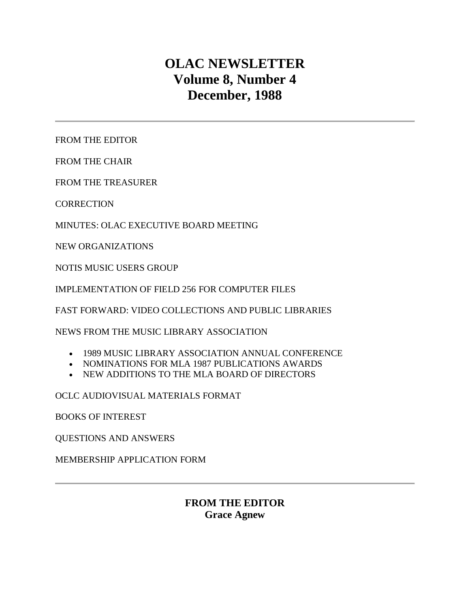# **OLAC NEWSLETTER Volume 8, Number 4 December, 1988**

[FROM THE EDITOR](http://ublib.buffalo.edu/libraries/units/cts/olac/newsletters/dec88.html#editor)

[FROM THE CHAIR](http://ublib.buffalo.edu/libraries/units/cts/olac/newsletters/dec88.html#chair)

[FROM THE TREASURER](http://ublib.buffalo.edu/libraries/units/cts/olac/newsletters/dec88.html#treasurer)

**[CORRECTION](http://ublib.buffalo.edu/libraries/units/cts/olac/newsletters/dec88.html#correction)** 

[MINUTES: OLAC EXECUTIVE BOARD MEETING](http://ublib.buffalo.edu/libraries/units/cts/olac/newsletters/dec88.html#board)

[NEW ORGANIZATIONS](http://ublib.buffalo.edu/libraries/units/cts/olac/newsletters/dec88.html#organizations)

[NOTIS MUSIC USERS GROUP](http://ublib.buffalo.edu/libraries/units/cts/olac/newsletters/dec88.html#notis)

[IMPLEMENTATION OF FIELD 256 FOR COMPUTER FILES](http://ublib.buffalo.edu/libraries/units/cts/olac/newsletters/dec88.html#field_256)

[FAST FORWARD: VIDEO COLLECTIONS AND PUBLIC LIBRARIES](http://ublib.buffalo.edu/libraries/units/cts/olac/newsletters/dec88.html#video)

[NEWS FROM THE MUSIC LIBRARY ASSOCIATION](http://ublib.buffalo.edu/libraries/units/cts/olac/newsletters/dec88.html#mla_news)

- [1989 MUSIC LIBRARY ASSOCIATION ANNUAL CONFERENCE](http://ublib.buffalo.edu/libraries/units/cts/olac/newsletters/dec88.html#mla_conference)
- [NOMINATIONS FOR MLA 1987 PUBLICATIONS AWARDS](http://ublib.buffalo.edu/libraries/units/cts/olac/newsletters/dec88.html#mla_awards)
- [NEW ADDITIONS TO THE MLA BOARD OF DIRECTORS](http://ublib.buffalo.edu/libraries/units/cts/olac/newsletters/dec88.html#mla_board)

[OCLC AUDIOVISUAL MATERIALS FORMAT](http://ublib.buffalo.edu/libraries/units/cts/olac/newsletters/dec88.html#mat_format)

[BOOKS OF INTEREST](http://ublib.buffalo.edu/libraries/units/cts/olac/newsletters/dec88.html#books)

[QUESTIONS AND ANSWERS](http://ublib.buffalo.edu/libraries/units/cts/olac/newsletters/dec88.html#q&a)

[MEMBERSHIP APPLICATION FORM](http://ublib.buffalo.edu/libraries/units/cts/olac/newsletters/dec88.html#form)

## **FROM THE EDITOR Grace Agnew**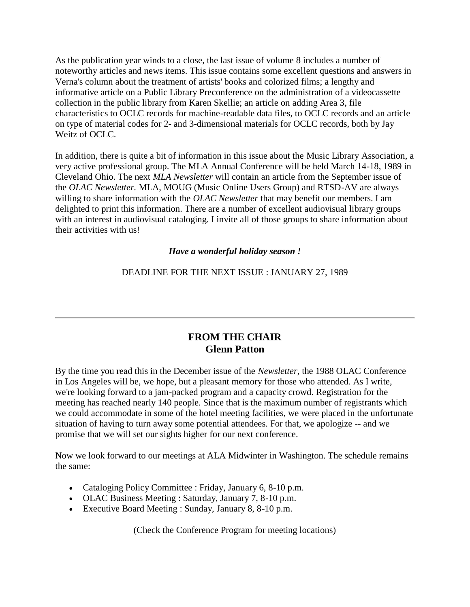As the publication year winds to a close, the last issue of volume 8 includes a number of noteworthy articles and news items. This issue contains some excellent questions and answers in [Verna's column](http://ublib.buffalo.edu/libraries/units/cts/olac/newsletters/dec88.html#q&a) about the treatment of artists' books and colorized films; a lengthy and informative article on a [Public Library Preconference](http://ublib.buffalo.edu/libraries/units/cts/olac/newsletters/dec88.html#video) on the administration of a videocassette collection in the public library from Karen Skellie; an article on [adding Area 3,](http://ublib.buffalo.edu/libraries/units/cts/olac/newsletters/dec88.html#field_256) file characteristics to OCLC records for machine-readable data files, to OCLC records and an article on [type of material codes](http://ublib.buffalo.edu/libraries/units/cts/olac/newsletters/dec88.html#mat_format) for 2- and 3-dimensional materials for OCLC records, both by Jay Weitz of OCLC.

In addition, there is quite a bit of information in this issue about the [Music Library Association,](http://ublib.buffalo.edu/libraries/units/cts/olac/newsletters/dec88.html#mla_news) a very active professional group. The MLA Annual Conference will be held March 14-18, 1989 in Cleveland Ohio. The next *MLA Newsletter* will contain an article from the September issue of the *OLAC Newsletter.* MLA, MOUG (Music Online Users Group) and RTSD-AV are always willing to share information with the *OLAC Newsletter* that may benefit our members. I am delighted to print this information. There are a number of excellent audiovisual library groups with an interest in audiovisual cataloging. I invite all of those groups to share information about their activities with us!

## *Have a wonderful holiday season !*

DEADLINE FOR THE [NEXT ISSUE](http://ublib.buffalo.edu/libraries/units/cts/olac/newsletters/mar89.html) : JANUARY 27, 1989

## **FROM THE CHAIR Glenn Patton**

By the time you read this in the December issue of the *Newsletter*, the 1988 OLAC Conference in Los Angeles will be, we hope, but a pleasant memory for those who attended. As I write, we're looking forward to a jam-packed program and a capacity crowd. Registration for the meeting has reached nearly 140 people. Since that is the maximum number of registrants which we could accommodate in some of the hotel meeting facilities, we were placed in the unfortunate situation of having to turn away some potential attendees. For that, we apologize -- and we promise that we will set our sights higher for our next conference.

Now we look forward to our meetings at ALA Midwinter in Washington. The schedule remains the same:

- Cataloging Policy Committee : Friday, January 6, 8-10 p.m.
- OLAC Business Meeting : Saturday, January 7, 8-10 p.m.
- Executive Board Meeting : Sunday, January 8, 8-10 p.m.

(Check the Conference Program for meeting locations)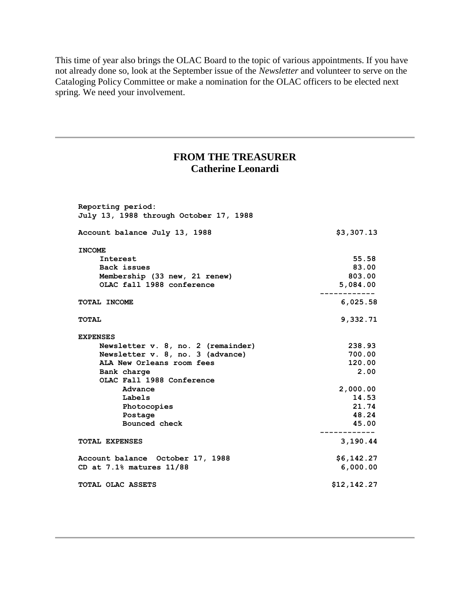This time of year also brings the OLAC Board to the topic of various appointments. If you have not already done so, look at the September issue of the *Newsletter* and volunteer to serve on the Cataloging Policy Committee or make a nomination for the OLAC officers to be elected next spring. We need your involvement.

## **FROM THE TREASURER Catherine Leonardi**

| Reporting period:<br>July 13, 1988 through October 17, 1988 |             |
|-------------------------------------------------------------|-------------|
| Account balance July 13, 1988                               | \$3,307.13  |
| <b>INCOME</b>                                               |             |
| Interest                                                    | 55.58       |
| Back issues                                                 | 83.00       |
| Membership (33 new, 21 renew)                               | 803.00      |
| OLAC fall 1988 conference                                   | 5,084.00    |
| TOTAL INCOME                                                | 6,025.58    |
| <b>TOTAL</b>                                                | 9,332.71    |
| <b>EXPENSES</b>                                             |             |
| Newsletter v. 8, no. 2 (remainder)                          | 238.93      |
| Newsletter v. 8, no. 3 (advance)                            | 700.00      |
| ALA New Orleans room fees                                   | 120.00      |
| Bank charge                                                 | 2.00        |
| OLAC Fall 1988 Conference                                   |             |
| Advance                                                     | 2,000.00    |
| Labels                                                      | 14.53       |
| Photocopies                                                 | 21.74       |
| Postage                                                     | 48.24       |
| Bounced check                                               | 45.00       |
| <b>TOTAL EXPENSES</b>                                       | 3,190.44    |
| Account balance October 17, 1988                            | \$6,142.27  |
| CD at 7.1% matures 11/88                                    | 6,000.00    |
| TOTAL OLAC ASSETS                                           | \$12,142.27 |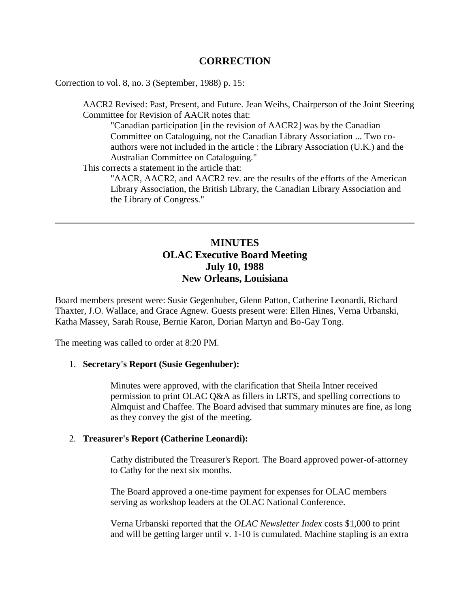## **CORRECTION**

Correction to vol. 8, no. 3 (September, 1988) [p. 15:](http://ublib.buffalo.edu/libraries/units/cts/olac/newsletters/sept88.html#ala)

AACR2 Revised: Past, Present, and Future. Jean Weihs, Chairperson of the Joint Steering Committee for Revision of AACR notes that:

"Canadian participation [in the revision of AACR2] was by the Canadian Committee on Cataloguing, not the Canadian Library Association ... Two coauthors were not included in the article : the Library Association (U.K.) and the Australian Committee on Cataloguing."

This corrects a statement in the article that:

"AACR, AACR2, and AACR2 rev. are the results of the efforts of the American Library Association, the British Library, the Canadian Library Association and the Library of Congress."

## **MINUTES OLAC Executive Board Meeting July 10, 1988 New Orleans, Louisiana**

Board members present were: Susie Gegenhuber, Glenn Patton, Catherine Leonardi, Richard Thaxter, J.O. Wallace, and Grace Agnew. Guests present were: Ellen Hines, Verna Urbanski, Katha Massey, Sarah Rouse, Bernie Karon, Dorian Martyn and Bo-Gay Tong.

The meeting was called to order at 8:20 PM.

### 1. **Secretary's Report (Susie Gegenhuber):**

Minutes were approved, with the clarification that Sheila Intner received permission to print OLAC Q&A as fillers in LRTS, and spelling corrections to Almquist and Chaffee. The Board advised that summary minutes are fine, as long as they convey the gist of the meeting.

### 2. **Treasurer's Report (Catherine Leonardi):**

Cathy distributed the Treasurer's Report. The Board approved power-of-attorney to Cathy for the next six months.

The Board approved a one-time payment for expenses for OLAC members serving as workshop leaders at the OLAC National Conference.

Verna Urbanski reported that the *OLAC Newsletter Index* costs \$1,000 to print and will be getting larger until v. 1-10 is cumulated. Machine stapling is an extra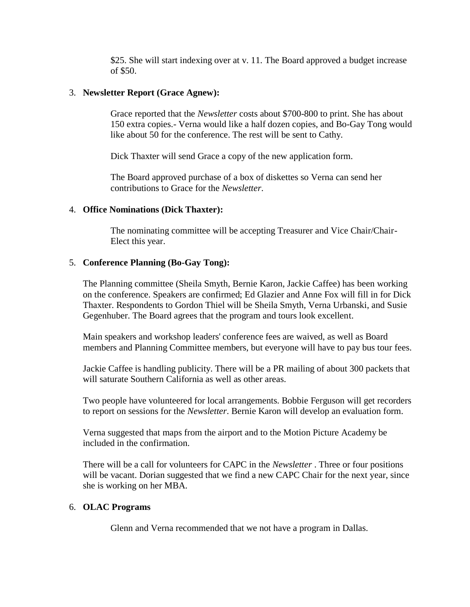\$25. She will start indexing over at v. 11. The Board approved a budget increase of \$50.

## 3. **Newsletter Report (Grace Agnew):**

Grace reported that the *Newsletter* costs about \$700-800 to print. She has about 150 extra copies.- Verna would like a half dozen copies, and Bo-Gay Tong would like about 50 for the conference. The rest will be sent to Cathy.

Dick Thaxter will send Grace a copy of the new application form.

The Board approved purchase of a box of diskettes so Verna can send her contributions to Grace for the *Newsletter*.

## 4. **Office Nominations (Dick Thaxter):**

The nominating committee will be accepting Treasurer and Vice Chair/Chair-Elect this year.

### 5. **Conference Planning (Bo-Gay Tong):**

The Planning committee (Sheila Smyth, Bernie Karon, Jackie Caffee) has been working on the conference. Speakers are confirmed; Ed Glazier and Anne Fox will fill in for Dick Thaxter. Respondents to Gordon Thiel will be Sheila Smyth, Verna Urbanski, and Susie Gegenhuber. The Board agrees that the program and tours look excellent.

Main speakers and workshop leaders' conference fees are waived, as well as Board members and Planning Committee members, but everyone will have to pay bus tour fees.

Jackie Caffee is handling publicity. There will be a PR mailing of about 300 packets that will saturate Southern California as well as other areas.

Two people have volunteered for local arrangements. Bobbie Ferguson will get recorders to report on sessions for the *Newsletter*. Bernie Karon will develop an evaluation form.

Verna suggested that maps from the airport and to the Motion Picture Academy be included in the confirmation.

There will be a call for volunteers for CAPC in the *Newsletter* . Three or four positions will be vacant. Dorian suggested that we find a new CAPC Chair for the next year, since she is working on her MBA.

### 6. **OLAC Programs**

Glenn and Verna recommended that we not have a program in Dallas.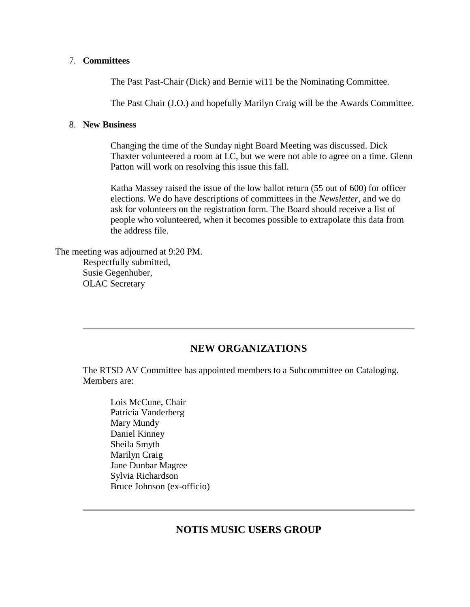### 7. **Committees**

The Past Past-Chair (Dick) and Bernie wi11 be the Nominating Committee.

The Past Chair (J.O.) and hopefully Marilyn Craig will be the Awards Committee.

### 8. **New Business**

Changing the time of the Sunday night Board Meeting was discussed. Dick Thaxter volunteered a room at LC, but we were not able to agree on a time. Glenn Patton will work on resolving this issue this fall.

Katha Massey raised the issue of the low ballot return (55 out of 600) for officer elections. We do have descriptions of committees in the *Newsletter*, and we do ask for volunteers on the registration form. The Board should receive a list of people who volunteered, when it becomes possible to extrapolate this data from the address file.

The meeting was adjourned at 9:20 PM. Respectfully submitted, Susie Gegenhuber, OLAC Secretary

## **NEW ORGANIZATIONS**

The RTSD AV Committee has appointed members to a Subcommittee on Cataloging. Members are:

Lois McCune, Chair Patricia Vanderberg Mary Mundy Daniel Kinney Sheila Smyth Marilyn Craig Jane Dunbar Magree Sylvia Richardson Bruce Johnson (ex-officio)

## **NOTIS MUSIC USERS GROUP**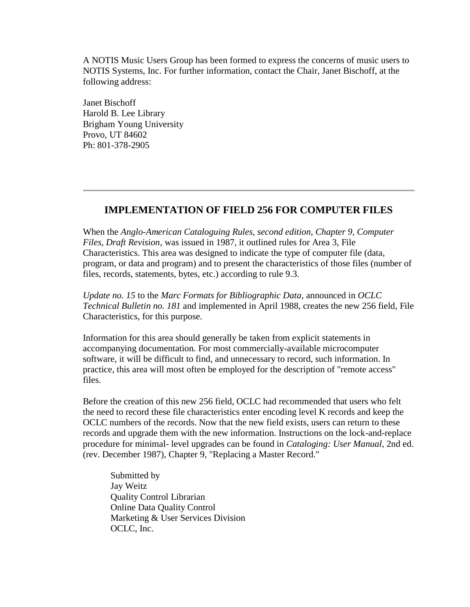A NOTIS Music Users Group has been formed to express the concerns of music users to NOTIS Systems, Inc. For further information, contact the Chair, Janet Bischoff, at the following address:

Janet Bischoff Harold B. Lee Library Brigham Young University Provo, UT 84602 Ph: 801-378-2905

## **IMPLEMENTATION OF FIELD 256 FOR COMPUTER FILES**

When the *Anglo-American Cataloguing Rules, second edition, Chapter 9, Computer Files, Draft Revision*, was issued in 1987, it outlined rules for Area 3, File Characteristics. This area was designed to indicate the type of computer file (data, program, or data and program) and to present the characteristics of those files (number of files, records, statements, bytes, etc.) according to rule 9.3.

*Update no. 15* to the *Marc Formats for Bibliographic Data*, announced in *OCLC Technical Bulletin no. 181* and implemented in April 1988, creates the new 256 field, File Characteristics, for this purpose.

Information for this area should generally be taken from explicit statements in accompanying documentation. For most commercially-available microcomputer software, it will be difficult to find, and unnecessary to record, such information. In practice, this area will most often be employed for the description of "remote access" files.

Before the creation of this new 256 field, OCLC had recommended that users who felt the need to record these file characteristics enter encoding level K records and keep the OCLC numbers of the records. Now that the new field exists, users can return to these records and upgrade them with the new information. Instructions on the lock-and-replace procedure for minimal- level upgrades can be found in *Cataloging: User Manual*, 2nd ed. (rev. December 1987), Chapter 9, "Replacing a Master Record."

Submitted by Jay Weitz Quality Control Librarian Online Data Quality Control Marketing & User Services Division OCLC, Inc.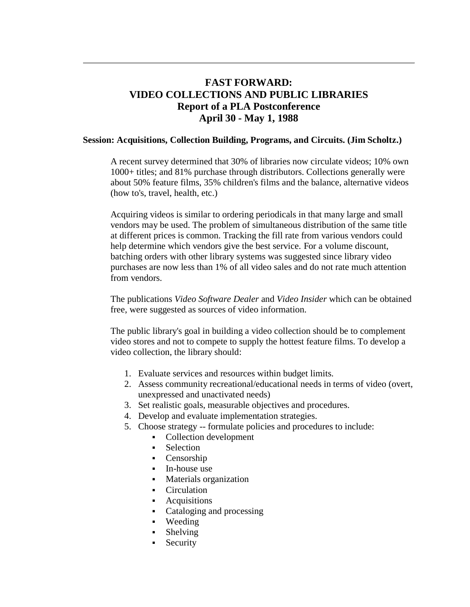## **FAST FORWARD: VIDEO COLLECTIONS AND PUBLIC LIBRARIES Report of a PLA Postconference April 30 - May 1, 1988**

### **Session: Acquisitions, Collection Building, Programs, and Circuits. (Jim Scholtz.)**

A recent survey determined that 30% of libraries now circulate videos; 10% own 1000+ titles; and 81% purchase through distributors. Collections generally were about 50% feature films, 35% children's films and the balance, alternative videos (how to's, travel, health, etc.)

Acquiring videos is similar to ordering periodicals in that many large and small vendors may be used. The problem of simultaneous distribution of the same title at different prices is common. Tracking the fill rate from various vendors could help determine which vendors give the best service. For a volume discount, batching orders with other library systems was suggested since library video purchases are now less than 1% of all video sales and do not rate much attention from vendors.

The publications *Video Software Dealer* and *Video Insider* which can be obtained free, were suggested as sources of video information.

The public library's goal in building a video collection should be to complement video stores and not to compete to supply the hottest feature films. To develop a video collection, the library should:

- 1. Evaluate services and resources within budget limits.
- 2. Assess community recreational/educational needs in terms of video (overt, unexpressed and unactivated needs)
- 3. Set realistic goals, measurable objectives and procedures.
- 4. Develop and evaluate implementation strategies.
- 5. Choose strategy -- formulate policies and procedures to include:
	- Collection development
	- Selection
	- Censorship
	- In-house use
	- **Materials organization**
	- Circulation
	- **Acquisitions**
	- Cataloging and processing
	- Weeding
	- Shelving
	- Security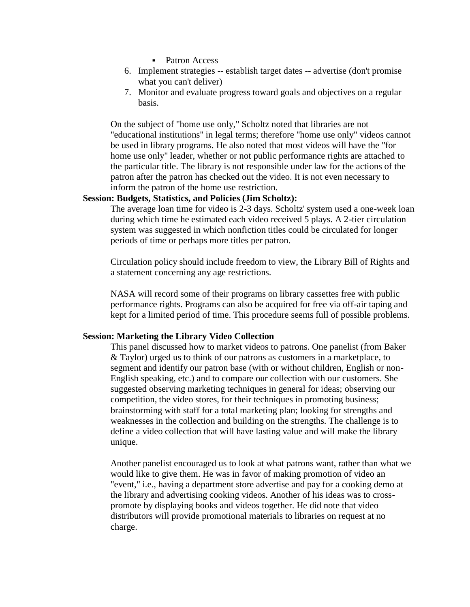- Patron Access
- 6. Implement strategies -- establish target dates -- advertise (don't promise what you can't deliver)
- 7. Monitor and evaluate progress toward goals and objectives on a regular basis.

On the subject of "home use only," Scholtz noted that libraries are not "educational institutions" in legal terms; therefore "home use only" videos cannot be used in library programs. He also noted that most videos will have the "for home use only" leader, whether or not public performance rights are attached to the particular title. The library is not responsible under law for the actions of the patron after the patron has checked out the video. It is not even necessary to inform the patron of the home use restriction.

### **Session: Budgets, Statistics, and Policies (Jim Scholtz):**

The average loan time for video is 2-3 days. Scholtz' system used a one-week loan during which time he estimated each video received 5 plays. A 2-tier circulation system was suggested in which nonfiction titles could be circulated for longer periods of time or perhaps more titles per patron.

Circulation policy should include freedom to view, the Library Bill of Rights and a statement concerning any age restrictions.

NASA will record some of their programs on library cassettes free with public performance rights. Programs can also be acquired for free via off-air taping and kept for a limited period of time. This procedure seems full of possible problems.

### **Session: Marketing the Library Video Collection**

This panel discussed how to market videos to patrons. One panelist (from Baker & Taylor) urged us to think of our patrons as customers in a marketplace, to segment and identify our patron base (with or without children, English or non-English speaking, etc.) and to compare our collection with our customers. She suggested observing marketing techniques in general for ideas; observing our competition, the video stores, for their techniques in promoting business; brainstorming with staff for a total marketing plan; looking for strengths and weaknesses in the collection and building on the strengths. The challenge is to define a video collection that will have lasting value and will make the library unique.

Another panelist encouraged us to look at what patrons want, rather than what we would like to give them. He was in favor of making promotion of video an "event," i.e., having a department store advertise and pay for a cooking demo at the library and advertising cooking videos. Another of his ideas was to crosspromote by displaying books and videos together. He did note that video distributors will provide promotional materials to libraries on request at no charge.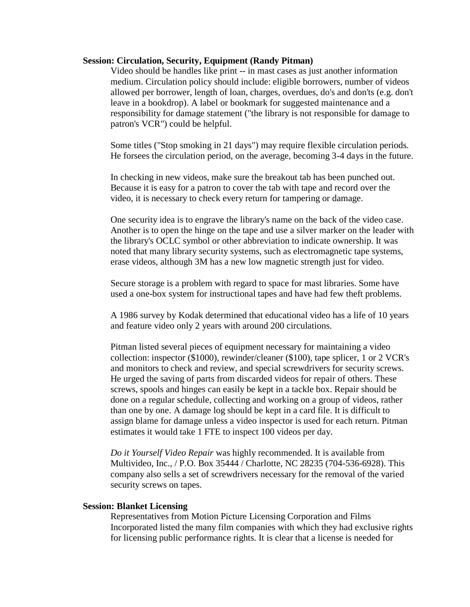### **Session: Circulation, Security, Equipment (Randy Pitman)**

Video should be handles like print -- in mast cases as just another information medium. Circulation policy should include: eligible borrowers, number of videos allowed per borrower, length of loan, charges, overdues, do's and don'ts (e.g. don't leave in a bookdrop). A label or bookmark for suggested maintenance and a responsibility for damage statement ("the library is not responsible for damage to patron's VCR") could be helpful.

Some titles ("Stop smoking in 21 days") may require flexible circulation periods. He forsees the circulation period, on the average, becoming 3-4 days in the future.

In checking in new videos, make sure the breakout tab has been punched out. Because it is easy for a patron to cover the tab with tape and record over the video, it is necessary to check every return for tampering or damage.

One security idea is to engrave the library's name on the back of the video case. Another is to open the hinge on the tape and use a silver marker on the leader with the library's OCLC symbol or other abbreviation to indicate ownership. It was noted that many library security systems, such as electromagnetic tape systems, erase videos, although 3M has a new low magnetic strength just for video.

Secure storage is a problem with regard to space for mast libraries. Some have used a one-box system for instructional tapes and have had few theft problems.

A 1986 survey by Kodak determined that educational video has a life of 10 years and feature video only 2 years with around 200 circulations.

Pitman listed several pieces of equipment necessary for maintaining a video collection: inspector (\$1000), rewinder/cleaner (\$100), tape splicer, 1 or 2 VCR's and monitors to check and review, and special screwdrivers for security screws. He urged the saving of parts from discarded videos for repair of others. These screws, spools and hinges can easily be kept in a tackle box. Repair should be done on a regular schedule, collecting and working on a group of videos, rather than one by one. A damage log should be kept in a card file. It is difficult to assign blame for damage unless a video inspector is used for each return. Pitman estimates it would take 1 FTE to inspect 100 videos per day.

*Do it Yourself Video Repair* was highly recommended. It is available from Multivideo, Inc., / P.O. Box 35444 / Charlotte, NC 28235 (704-536-6928). This company also sells a set of screwdrivers necessary for the removal of the varied security screws on tapes.

### **Session: Blanket Licensing**

Representatives from Motion Picture Licensing Corporation and Films Incorporated listed the many film companies with which they had exclusive rights for licensing public performance rights. It is clear that a license is needed for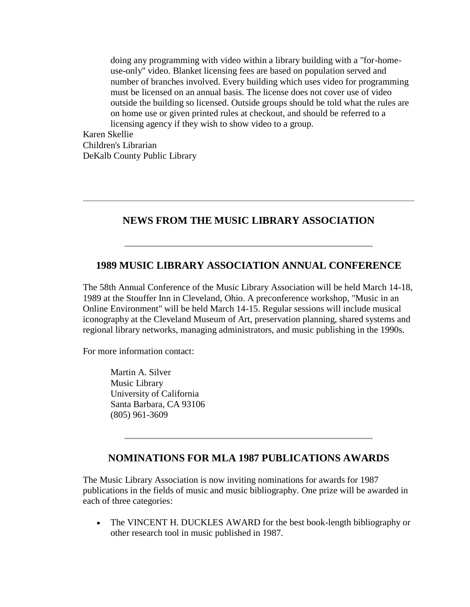doing any programming with video within a library building with a "for-homeuse-only'' video. Blanket licensing fees are based on population served and number of branches involved. Every building which uses video for programming must be licensed on an annual basis. The license does not cover use of video outside the building so licensed. Outside groups should be told what the rules are on home use or given printed rules at checkout, and should be referred to a licensing agency if they wish to show video to a group.

Karen Skellie Children's Librarian DeKalb County Public Library

## **NEWS FROM THE MUSIC LIBRARY ASSOCIATION**

## **1989 MUSIC LIBRARY ASSOCIATION ANNUAL CONFERENCE**

The 58th Annual Conference of the Music Library Association will be held March 14-18, 1989 at the Stouffer Inn in Cleveland, Ohio. A preconference workshop, "Music in an Online Environment" will be held March 14-15. Regular sessions will include musical iconography at the Cleveland Museum of Art, preservation planning, shared systems and regional library networks, managing administrators, and music publishing in the 1990s.

For more information contact:

Martin A. Silver Music Library University of California Santa Barbara, CA 93106 (805) 961-3609

## **NOMINATIONS FOR MLA 1987 PUBLICATIONS AWARDS**

The Music Library Association is now inviting nominations for awards for 1987 publications in the fields of music and music bibliography. One prize will be awarded in each of three categories:

• The VINCENT H. DUCKLES AWARD for the best book-length bibliography or other research tool in music published in 1987.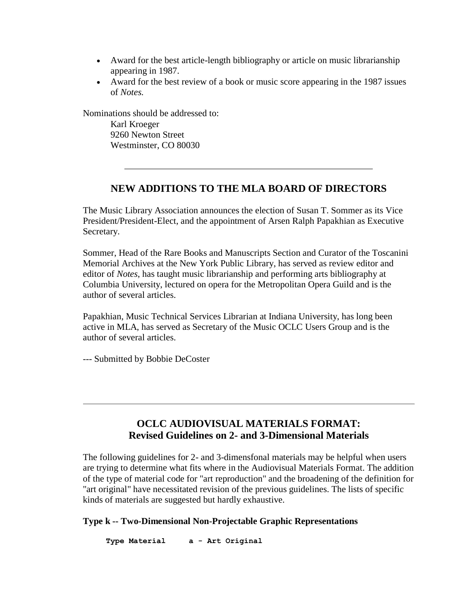- Award for the best article-length bibliography or article on music librarianship appearing in 1987.
- Award for the best review of a book or music score appearing in the 1987 issues of *Notes.*

Nominations should be addressed to:

Karl Kroeger 9260 Newton Street Westminster, CO 80030

## **NEW ADDITIONS TO THE MLA BOARD OF DIRECTORS**

The Music Library Association announces the election of Susan T. Sommer as its Vice President/President-Elect, and the appointment of Arsen Ralph Papakhian as Executive Secretary.

Sommer, Head of the Rare Books and Manuscripts Section and Curator of the Toscanini Memorial Archives at the New York Public Library, has served as review editor and editor of *Notes*, has taught music librarianship and performing arts bibliography at Columbia University, lectured on opera for the Metropolitan Opera Guild and is the author of several articles.

Papakhian, Music Technical Services Librarian at Indiana University, has long been active in MLA, has served as Secretary of the Music OCLC Users Group and is the author of several articles.

--- Submitted by Bobbie DeCoster

## **OCLC AUDIOVISUAL MATERIALS FORMAT: Revised Guidelines on 2- and 3-Dimensional Materials**

The following guidelines for 2- and 3-dimensfonal materials may be helpful when users are trying to determine what fits where in the Audiovisual Materials Format. The addition of the type of material code for "art reproduction" and the broadening of the definition for "art original" have necessitated revision of the previous guidelines. The lists of specific kinds of materials are suggested but hardly exhaustive.

## **Type k -- Two-Dimensional Non-Projectable Graphic Representations**

 **Type Material a - Art Original**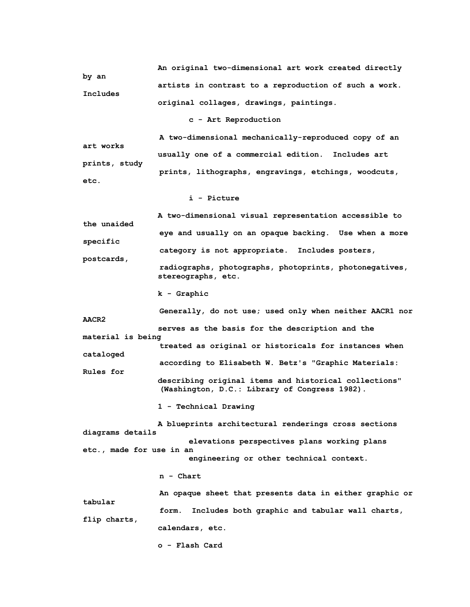**An original two-dimensional art work created directly by an artists in contrast to a reproduction of such a work. Includes original collages, drawings, paintings.**

#### **c - Art Reproduction**

 **A two-dimensional mechanically-reproduced copy of an art works usually one of a commercial edition. Includes art prints, study prints, lithographs, engravings, etchings, woodcuts, etc.**

#### **i - Picture**

 **A two-dimensional visual representation accessible to the unaided eye and usually on an opaque backing. Use when a more specific category is not appropriate. Includes posters, postcards, radiographs, photographs, photoprints, photonegatives, stereographs, etc.**

 **k - Graphic**

 **Generally, do not use; used only when neither AACR1 nor AACR2 serves as the basis for the description and the material is being treated as original or historicals for instances when cataloged according to Elisabeth W. Betz's "Graphic Materials: Rules for describing original items and historical collections" (Washington, D.C.: Library of Congress 1982). 1 - Technical Drawing A blueprints architectural renderings cross sections diagrams details elevations perspectives plans working plans etc., made for use in an engineering or other technical context.**

#### **n - Chart**

 **An opaque sheet that presents data in either graphic or tabular form. Includes both graphic and tabular wall charts, flip charts, calendars, etc.**

 **o - Flash Card**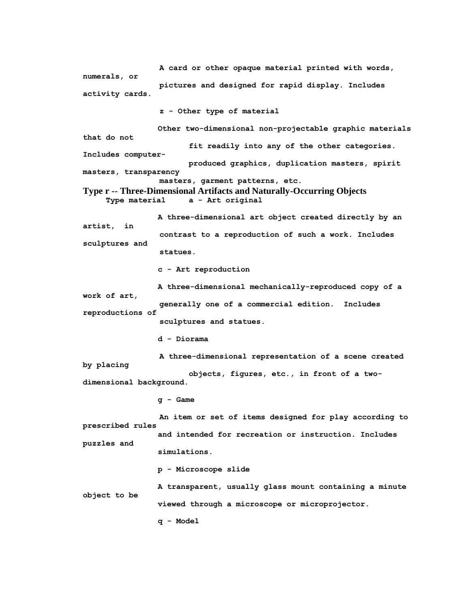**A card or other opaque material printed with words, numerals, or pictures and designed for rapid display. Includes activity cards. z - Other type of material Other two-dimensional non-projectable graphic materials that do not fit readily into any of the other categories. Includes computer produced graphics, duplication masters, spirit masters, transparency masters, garment patterns, etc. Type r -- Three-Dimensional Artifacts and Naturally-Occurring Objects Type material a - Art original A three-dimensional art object created directly by an artist, in contrast to a reproduction of such a work. Includes sculptures and statues. c - Art reproduction A three-dimensional mechanically-reproduced copy of a work of art, generally one of a commercial edition. Includes reproductions of sculptures and statues. d - Diorama A three-dimensional representation of a scene created by placing objects, figures, etc., in front of a twodimensional background. g - Game An item or set of items designed for play according to prescribed rules and intended for recreation or instruction. Includes puzzles and simulations. p - Microscope slide A transparent, usually glass mount containing a minute object to be viewed through a microscope or microprojector. q - Model**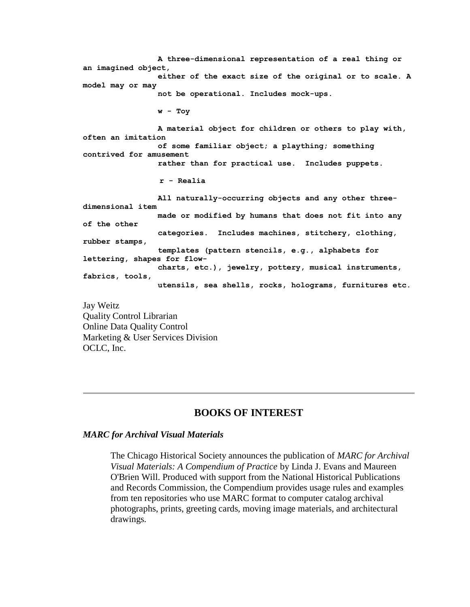**A three-dimensional representation of a real thing or an imagined object, either of the exact size of the original or to scale. A model may or may not be operational. Includes mock-ups. w - Toy A material object for children or others to play with, often an imitation of some familiar object; a plaything; something contrived for amusement rather than for practical use. Includes puppets. r - Realia All naturally-occurring objects and any other threedimensional item made or modified by humans that does not fit into any of the other categories. Includes machines, stitchery, clothing, rubber stamps, templates (pattern stencils, e.g., alphabets for lettering, shapes for flow charts, etc.), jewelry, pottery, musical instruments, fabrics, tools, utensils, sea shells, rocks, holograms, furnitures etc.**

Jay Weitz Quality Control Librarian Online Data Quality Control Marketing & User Services Division OCLC, Inc.

## **BOOKS OF INTEREST**

### *MARC for Archival Visual Materials*

The Chicago Historical Society announces the publication of *MARC for Archival Visual Materials: A Compendium of Practice* by Linda J. Evans and Maureen O'Brien Will. Produced with support from the National Historical Publications and Records Commission, the Compendium provides usage rules and examples from ten repositories who use MARC format to computer catalog archival photographs, prints, greeting cards, moving image materials, and architectural drawings.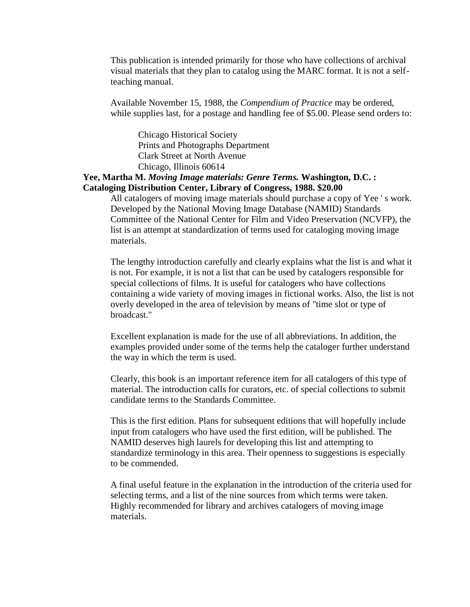This publication is intended primarily for those who have collections of archival visual materials that they plan to catalog using the MARC format. It is not a selfteaching manual.

Available November 15, 1988, the *Compendium of Practice* may be ordered, while supplies last, for a postage and handling fee of \$5.00. Please send orders to:

Chicago Historical Society Prints and Photographs Department Clark Street at North Avenue Chicago, Illinois 60614

## **Yee, Martha M.** *Moving Image materials: Genre Terms.* **Washington, D.C. : Cataloging Distribution Center, Library of Congress, 1988. \$20.00**

All catalogers of moving image materials should purchase a copy of Yee ' s work. Developed by the National Moving Image Database (NAMID) Standards Committee of the National Center for Film and Video Preservation (NCVFP), the list is an attempt at standardization of terms used for cataloging moving image materials.

The lengthy introduction carefully and clearly explains what the list is and what it is not. For example, it is not a list that can be used by catalogers responsible for special collections of films. It is useful for catalogers who have collections containing a wide variety of moving images in fictional works. Also, the list is not overly developed in the area of television by means of "time slot or type of broadcast."

Excellent explanation is made for the use of all abbreviations. In addition, the examples provided under some of the terms help the cataloger further understand the way in which the term is used.

Clearly, this book is an important reference item for all catalogers of this type of material. The introduction calls for curators, etc. of special collections to submit candidate terms to the Standards Committee.

This is the first edition. Plans for subsequent editions that will hopefully include input from catalogers who have used the first edition, will be published. The NAMID deserves high laurels for developing this list and attempting to standardize terminology in this area. Their openness to suggestions is especially to be commended.

A final useful feature in the explanation in the introduction of the criteria used for selecting terms, and a list of the nine sources from which terms were taken. Highly recommended for library and archives catalogers of moving image materials.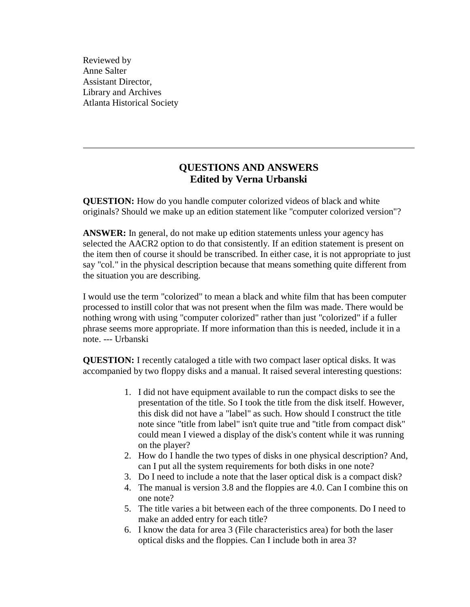Reviewed by Anne Salter Assistant Director, Library and Archives Atlanta Historical Society

## **QUESTIONS AND ANSWERS Edited by Verna Urbanski**

**QUESTION:** How do you handle computer colorized videos of black and white originals? Should we make up an edition statement like "computer colorized version"?

**ANSWER:** In general, do not make up edition statements unless your agency has selected the AACR2 option to do that consistently. If an edition statement is present on the item then of course it should be transcribed. In either case, it is not appropriate to just say "col." in the physical description because that means something quite different from the situation you are describing.

I would use the term "colorized" to mean a black and white film that has been computer processed to instill color that was not present when the film was made. There would be nothing wrong with using "computer colorized" rather than just "colorized" if a fuller phrase seems more appropriate. If more information than this is needed, include it in a note. --- Urbanski

**QUESTION:** I recently cataloged a title with two compact laser optical disks. It was accompanied by two floppy disks and a manual. It raised several interesting questions:

- 1. I did not have equipment available to run the compact disks to see the presentation of the title. So I took the title from the disk itself. However, this disk did not have a "label" as such. How should I construct the title note since "title from label" isn't quite true and "title from compact disk" could mean I viewed a display of the disk's content while it was running on the player?
- 2. How do I handle the two types of disks in one physical description? And, can I put all the system requirements for both disks in one note?
- 3. Do I need to include a note that the laser optical disk is a compact disk?
- 4. The manual is version 3.8 and the floppies are 4.0. Can I combine this on one note?
- 5. The title varies a bit between each of the three components. Do I need to make an added entry for each title?
- 6. I know the data for area 3 (File characteristics area) for both the laser optical disks and the floppies. Can I include both in area 3?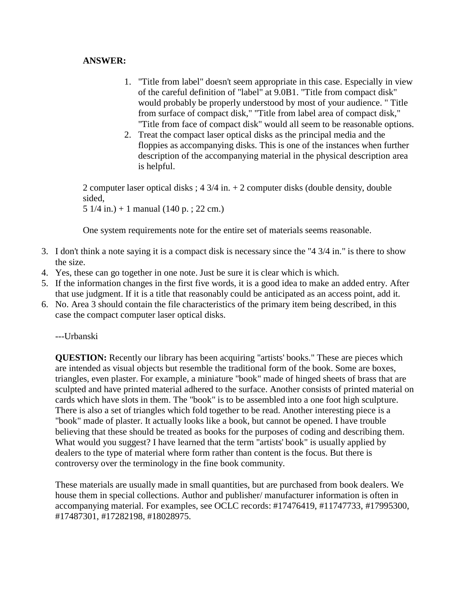## **ANSWER:**

- 1. "Title from label" doesn't seem appropriate in this case. Especially in view of the careful definition of "label" at 9.0B1. "Title from compact disk" would probably be properly understood by most of your audience. " Title from surface of compact disk," "Title from label area of compact disk," "Title from face of compact disk" would all seem to be reasonable options.
- 2. Treat the compact laser optical disks as the principal media and the floppies as accompanying disks. This is one of the instances when further description of the accompanying material in the physical description area is helpful.

2 computer laser optical disks ; 4 3/4 in. + 2 computer disks (double density, double sided, 5 1/4 in.) + 1 manual (140 p. ; 22 cm.)

One system requirements note for the entire set of materials seems reasonable.

- 3. I don't think a note saying it is a compact disk is necessary since the "4 3/4 in." is there to show the size.
- 4. Yes, these can go together in one note. Just be sure it is clear which is which.
- 5. If the information changes in the first five words, it is a good idea to make an added entry. After that use judgment. If it is a title that reasonably could be anticipated as an access point, add it.
- 6. No. Area 3 should contain the file characteristics of the primary item being described, in this case the compact computer laser optical disks.

---Urbanski

**QUESTION:** Recently our library has been acquiring "artists' books." These are pieces which are intended as visual objects but resemble the traditional form of the book. Some are boxes, triangles, even plaster. For example, a miniature "book" made of hinged sheets of brass that are sculpted and have printed material adhered to the surface. Another consists of printed material on cards which have slots in them. The "book" is to be assembled into a one foot high sculpture. There is also a set of triangles which fold together to be read. Another interesting piece is a "book" made of plaster. It actually looks like a book, but cannot be opened. I have trouble believing that these should be treated as books for the purposes of coding and describing them. What would you suggest? I have learned that the term "artists' book" is usually applied by dealers to the type of material where form rather than content is the focus. But there is controversy over the terminology in the fine book community.

These materials are usually made in small quantities, but are purchased from book dealers. We house them in special collections. Author and publisher/ manufacturer information is often in accompanying material. For examples, see OCLC records: #17476419, #11747733, #17995300, #17487301, #17282198, #18028975.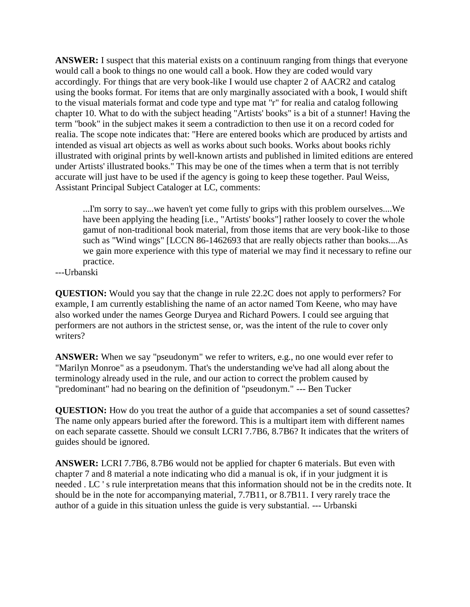**ANSWER:** I suspect that this material exists on a continuum ranging from things that everyone would call a book to things no one would call a book. How they are coded would vary accordingly. For things that are very book-like I would use chapter 2 of AACR2 and catalog using the books format. For items that are only marginally associated with a book, I would shift to the visual materials format and code type and type mat "r" for realia and catalog following chapter 10. What to do with the subject heading "Artists' books" is a bit of a stunner! Having the term "book" in the subject makes it seem a contradiction to then use it on a record coded for realia. The scope note indicates that: "Here are entered books which are produced by artists and intended as visual art objects as well as works about such books. Works about books richly illustrated with original prints by well-known artists and published in limited editions are entered under Artists' illustrated books." This may be one of the times when a term that is not terribly accurate will just have to be used if the agency is going to keep these together. Paul Weiss, Assistant Principal Subject Cataloger at LC, comments:

...I'm sorry to say...we haven't yet come fully to grips with this problem ourselves....We have been applying the heading [i.e., "Artists' books"] rather loosely to cover the whole gamut of non-traditional book material, from those items that are very book-like to those such as "Wind wings" [LCCN 86-1462693 that are really objects rather than books....As we gain more experience with this type of material we may find it necessary to refine our practice.

---Urbanski

**QUESTION:** Would you say that the change in rule 22.2C does not apply to performers? For example, I am currently establishing the name of an actor named Tom Keene, who may have also worked under the names George Duryea and Richard Powers. I could see arguing that performers are not authors in the strictest sense, or, was the intent of the rule to cover only writers?

**ANSWER:** When we say "pseudonym" we refer to writers, e.g., no one would ever refer to "Marilyn Monroe" as a pseudonym. That's the understanding we've had all along about the terminology already used in the rule, and our action to correct the problem caused by "predominant" had no bearing on the definition of "pseudonym." --- Ben Tucker

**QUESTION:** How do you treat the author of a guide that accompanies a set of sound cassettes? The name only appears buried after the foreword. This is a multipart item with different names on each separate cassette. Should we consult LCRI 7.7B6, 8.7B6? It indicates that the writers of guides should be ignored.

**ANSWER:** LCRI 7.7B6, 8.7B6 would not be applied for chapter 6 materials. But even with chapter 7 and 8 material a note indicating who did a manual is ok, if in your judgment it is needed . LC ' s rule interpretation means that this information should not be in the credits note. It should be in the note for accompanying material, 7.7B11, or 8.7B11. I very rarely trace the author of a guide in this situation unless the guide is very substantial. --- Urbanski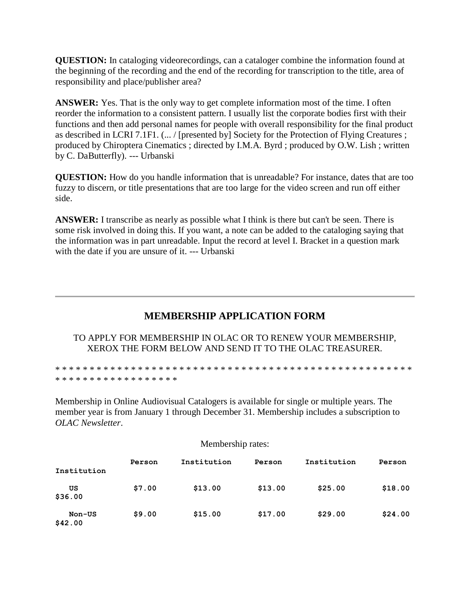**QUESTION:** In cataloging videorecordings, can a cataloger combine the information found at the beginning of the recording and the end of the recording for transcription to the title, area of responsibility and place/publisher area?

**ANSWER:** Yes. That is the only way to get complete information most of the time. I often reorder the information to a consistent pattern. I usually list the corporate bodies first with their functions and then add personal names for people with overall responsibility for the final product as described in LCRI 7.1F1. (... / [presented by] Society for the Protection of Flying Creatures ; produced by Chiroptera Cinematics ; directed by I.M.A. Byrd ; produced by O.W. Lish ; written by C. DaButterfly). --- Urbanski

**QUESTION:** How do you handle information that is unreadable? For instance, dates that are too fuzzy to discern, or title presentations that are too large for the video screen and run off either side.

**ANSWER:** I transcribe as nearly as possible what I think is there but can't be seen. There is some risk involved in doing this. If you want, a note can be added to the cataloging saying that the information was in part unreadable. Input the record at level I. Bracket in a question mark with the date if you are unsure of it. --- Urbanski

## **MEMBERSHIP APPLICATION FORM**

TO APPLY FOR MEMBERSHIP IN OLAC OR TO RENEW YOUR MEMBERSHIP, XEROX THE FORM BELOW AND SEND IT TO THE OLAC TREASURER.

\* \* \* \* \* \* \* \* \* \* \* \* \* \* \* \* \* \* \* \* \* \* \* \* \* \* \* \* \* \* \* \* \* \* \* \* \* \* \* \* \* \* \* \* \* \* \* \* \* \* \* \* \* \* \* \* \* \* \* \* \* \* \* \* \* \* \* \* \* \*

Membership in Online Audiovisual Catalogers is available for single or multiple years. The member year is from January 1 through December 31. Membership includes a subscription to *OLAC Newsletter*.

Membership rates:

| Institution       | Person | Institution | Person  | Institution | Person  |
|-------------------|--------|-------------|---------|-------------|---------|
| US<br>\$36.00     | \$7.00 | \$13.00     | \$13.00 | \$25.00     | \$18.00 |
| Non-US<br>\$42.00 | \$9.00 | \$15.00     | \$17.00 | \$29.00     | \$24.00 |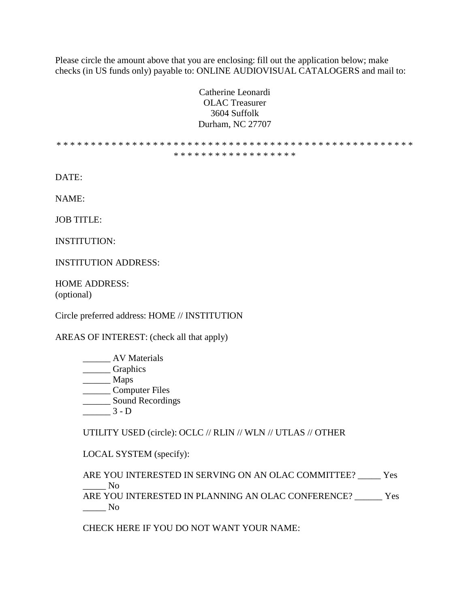Please circle the amount above that you are enclosing: fill out the application below; make checks (in US funds only) payable to: ONLINE AUDIOVISUAL CATALOGERS and mail to:

> Catherine Leonardi OLAC Treasurer 3604 Suffolk Durham, NC 27707

\* \* \* \* \* \* \* \* \* \* \* \* \* \* \* \* \* \* \* \* \* \* \* \* \* \* \* \* \* \* \* \* \* \* \* \* \* \* \* \* \* \* \* \* \* \* \* \* \* \* \* \* \* \* \* \* \* \* \* \* \* \* \* \* \* \* \* \* \* \*

DATE:

NAME:

JOB TITLE:

INSTITUTION:

INSTITUTION ADDRESS:

HOME ADDRESS: (optional)

Circle preferred address: HOME // INSTITUTION

AREAS OF INTEREST: (check all that apply)

\_\_\_\_\_\_ AV Materials \_\_\_\_\_\_ Graphics \_\_\_\_\_\_ Maps \_\_\_\_\_\_ Computer Files \_\_\_\_\_\_\_ Sound Recordings  $\frac{3 - D}{2}$ 

UTILITY USED (circle): OCLC // RLIN // WLN // UTLAS // OTHER

LOCAL SYSTEM (specify):

ARE YOU INTERESTED IN SERVING ON AN OLAC COMMITTEE? \_\_\_\_\_ Yes  $\overline{N}$ o ARE YOU INTERESTED IN PLANNING AN OLAC CONFERENCE? \_\_\_\_\_\_ Yes \_\_\_\_\_ No

CHECK HERE IF YOU DO NOT WANT YOUR NAME: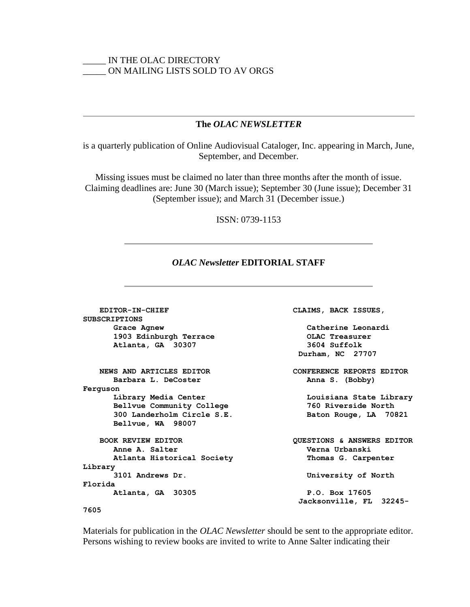## \_\_\_\_\_ IN THE OLAC DIRECTORY \_\_\_\_\_ ON MAILING LISTS SOLD TO AV ORGS

### **The** *OLAC NEWSLETTER*

is a quarterly publication of Online Audiovisual Cataloger, Inc. appearing in March, June, September, and December.

Missing issues must be claimed no later than three months after the month of issue. Claiming deadlines are: June 30 (March issue); September 30 (June issue); December 31 (September issue); and March 31 (December issue.)

### ISSN: 0739-1153

### *OLAC Newsletter* **EDITORIAL STAFF**

 **EDITOR-IN-CHIEF CLAIMS, BACK ISSUES, SUBSCRIPTIONS Grace Agnew Catherine Leonardi 1903 Edinburgh Terrace OLAC Treasurer Atlanta, GA 30307 3604 Suffolk Durham, NC 27707 NEWS AND ARTICLES EDITOR CONFERENCE REPORTS EDITOR** Barbara L. DeCoster **Anna S.** (Bobby) **Ferguson Library Media Center Louisiana State Library Bellvue Community College 760 Riverside North 300 Landerholm Circle S.E. Baton Rouge, LA 70821 Bellvue, WA 98007 BOOK REVIEW EDITOR QUESTIONS & ANSWERS EDITOR Anne A. Salter Verna Urbanski Atlanta Historical Society Thomas G. Carpenter Library 3101 Andrews Dr. University of North Florida Atlanta, GA 30305 P.O. Box 17605 Jacksonville, FL 32245- 7605**

Materials for publication in the *OLAC Newsletter* should be sent to the appropriate editor. Persons wishing to review books are invited to write to Anne Salter indicating their